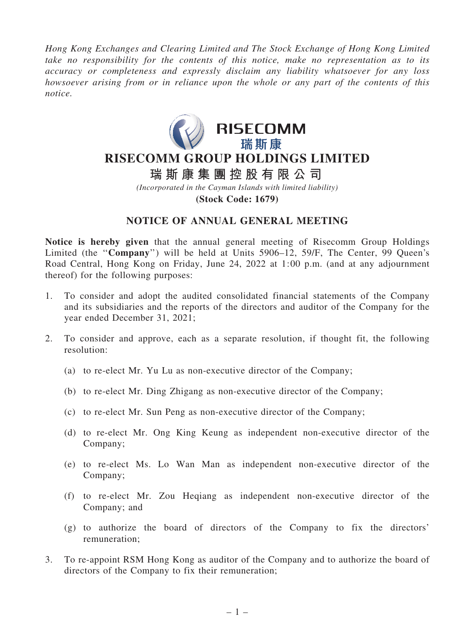*Hong Kong Exchanges and Clearing Limited and The Stock Exchange of Hong Kong Limited take no responsibility for the contents of this notice, make no representation as to its accuracy or completeness and expressly disclaim any liability whatsoever for any loss howsoever arising from or in reliance upon the whole or any part of the contents of this notice.*



# **RISECOMM GROUP HOLDINGS LIMITED**

**瑞 斯 康 集 團 控 股 有 限 公 司**

*(Incorporated in the Cayman Islands with limited liability)* **(Stock Code: 1679)**

## NOTICE OF ANNUAL GENERAL MEETING

Notice is hereby given that the annual general meeting of Risecomm Group Holdings Limited (the ''Company'') will be held at Units 5906–12, 59/F, The Center, 99 Queen's Road Central, Hong Kong on Friday, June 24, 2022 at 1:00 p.m. (and at any adjournment thereof) for the following purposes:

- 1. To consider and adopt the audited consolidated financial statements of the Company and its subsidiaries and the reports of the directors and auditor of the Company for the year ended December 31, 2021;
- 2. To consider and approve, each as a separate resolution, if thought fit, the following resolution:
	- (a) to re-elect Mr. Yu Lu as non-executive director of the Company;
	- (b) to re-elect Mr. Ding Zhigang as non-executive director of the Company;
	- (c) to re-elect Mr. Sun Peng as non-executive director of the Company;
	- (d) to re-elect Mr. Ong King Keung as independent non-executive director of the Company;
	- (e) to re-elect Ms. Lo Wan Man as independent non-executive director of the Company;
	- (f) to re-elect Mr. Zou Heqiang as independent non-executive director of the Company; and
	- (g) to authorize the board of directors of the Company to fix the directors' remuneration;
- 3. To re-appoint RSM Hong Kong as auditor of the Company and to authorize the board of directors of the Company to fix their remuneration;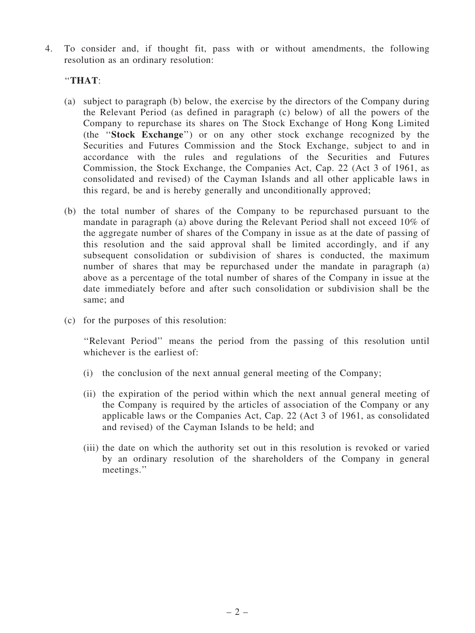4. To consider and, if thought fit, pass with or without amendments, the following resolution as an ordinary resolution:

### ''THAT:

- (a) subject to paragraph (b) below, the exercise by the directors of the Company during the Relevant Period (as defined in paragraph (c) below) of all the powers of the Company to repurchase its shares on The Stock Exchange of Hong Kong Limited (the ''Stock Exchange'') or on any other stock exchange recognized by the Securities and Futures Commission and the Stock Exchange, subject to and in accordance with the rules and regulations of the Securities and Futures Commission, the Stock Exchange, the Companies Act, Cap. 22 (Act 3 of 1961, as consolidated and revised) of the Cayman Islands and all other applicable laws in this regard, be and is hereby generally and unconditionally approved;
- (b) the total number of shares of the Company to be repurchased pursuant to the mandate in paragraph (a) above during the Relevant Period shall not exceed 10% of the aggregate number of shares of the Company in issue as at the date of passing of this resolution and the said approval shall be limited accordingly, and if any subsequent consolidation or subdivision of shares is conducted, the maximum number of shares that may be repurchased under the mandate in paragraph (a) above as a percentage of the total number of shares of the Company in issue at the date immediately before and after such consolidation or subdivision shall be the same; and
- (c) for the purposes of this resolution:

''Relevant Period'' means the period from the passing of this resolution until whichever is the earliest of:

- (i) the conclusion of the next annual general meeting of the Company;
- (ii) the expiration of the period within which the next annual general meeting of the Company is required by the articles of association of the Company or any applicable laws or the Companies Act, Cap. 22 (Act 3 of 1961, as consolidated and revised) of the Cayman Islands to be held; and
- (iii) the date on which the authority set out in this resolution is revoked or varied by an ordinary resolution of the shareholders of the Company in general meetings.''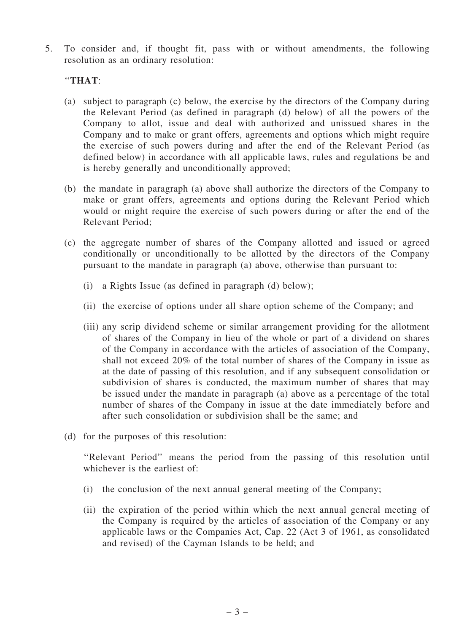5. To consider and, if thought fit, pass with or without amendments, the following resolution as an ordinary resolution:

#### ''THAT:

- (a) subject to paragraph (c) below, the exercise by the directors of the Company during the Relevant Period (as defined in paragraph (d) below) of all the powers of the Company to allot, issue and deal with authorized and unissued shares in the Company and to make or grant offers, agreements and options which might require the exercise of such powers during and after the end of the Relevant Period (as defined below) in accordance with all applicable laws, rules and regulations be and is hereby generally and unconditionally approved;
- (b) the mandate in paragraph (a) above shall authorize the directors of the Company to make or grant offers, agreements and options during the Relevant Period which would or might require the exercise of such powers during or after the end of the Relevant Period;
- (c) the aggregate number of shares of the Company allotted and issued or agreed conditionally or unconditionally to be allotted by the directors of the Company pursuant to the mandate in paragraph (a) above, otherwise than pursuant to:
	- (i) a Rights Issue (as defined in paragraph (d) below);
	- (ii) the exercise of options under all share option scheme of the Company; and
	- (iii) any scrip dividend scheme or similar arrangement providing for the allotment of shares of the Company in lieu of the whole or part of a dividend on shares of the Company in accordance with the articles of association of the Company, shall not exceed 20% of the total number of shares of the Company in issue as at the date of passing of this resolution, and if any subsequent consolidation or subdivision of shares is conducted, the maximum number of shares that may be issued under the mandate in paragraph (a) above as a percentage of the total number of shares of the Company in issue at the date immediately before and after such consolidation or subdivision shall be the same; and
- (d) for the purposes of this resolution:

''Relevant Period'' means the period from the passing of this resolution until whichever is the earliest of:

- (i) the conclusion of the next annual general meeting of the Company;
- (ii) the expiration of the period within which the next annual general meeting of the Company is required by the articles of association of the Company or any applicable laws or the Companies Act, Cap. 22 (Act 3 of 1961, as consolidated and revised) of the Cayman Islands to be held; and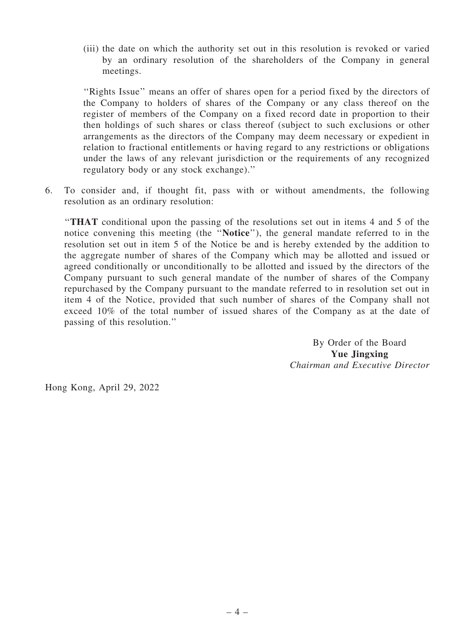(iii) the date on which the authority set out in this resolution is revoked or varied by an ordinary resolution of the shareholders of the Company in general meetings.

''Rights Issue'' means an offer of shares open for a period fixed by the directors of the Company to holders of shares of the Company or any class thereof on the register of members of the Company on a fixed record date in proportion to their then holdings of such shares or class thereof (subject to such exclusions or other arrangements as the directors of the Company may deem necessary or expedient in relation to fractional entitlements or having regard to any restrictions or obligations under the laws of any relevant jurisdiction or the requirements of any recognized regulatory body or any stock exchange).''

6. To consider and, if thought fit, pass with or without amendments, the following resolution as an ordinary resolution:

''THAT conditional upon the passing of the resolutions set out in items 4 and 5 of the notice convening this meeting (the ''Notice''), the general mandate referred to in the resolution set out in item 5 of the Notice be and is hereby extended by the addition to the aggregate number of shares of the Company which may be allotted and issued or agreed conditionally or unconditionally to be allotted and issued by the directors of the Company pursuant to such general mandate of the number of shares of the Company repurchased by the Company pursuant to the mandate referred to in resolution set out in item 4 of the Notice, provided that such number of shares of the Company shall not exceed 10% of the total number of issued shares of the Company as at the date of passing of this resolution.''

> By Order of the Board Yue Jingxing *Chairman and Executive Director*

Hong Kong, April 29, 2022